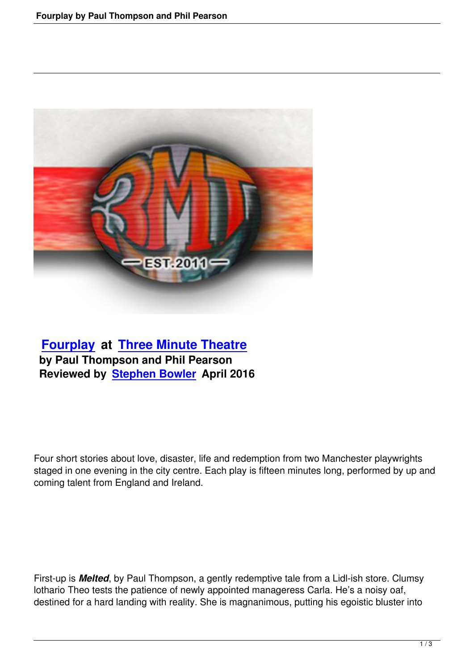

## **Fourplay at Three Minute Theatre by Paul Thompson and Phil Pearson [Reviewed b](fourplay-by-paul-thompson-and-phil-pearson.html)y [Stephen Bowler April 201](http://www.threeminutetheatre.co.uk/)6**

Four short stories about love, disaster, life and redemption from two Manchester playwrights staged in one evening in the city centre. Each play is fifteen minutes long, performed by up and coming talent from England and Ireland.

First-up is *Melted*, by Paul Thompson, a gently redemptive tale from a Lidl-ish store. Clumsy lothario Theo tests the patience of newly appointed manageress Carla. He's a noisy oaf, destined for a hard landing with reality. She is magnanimous, putting his egoistic bluster into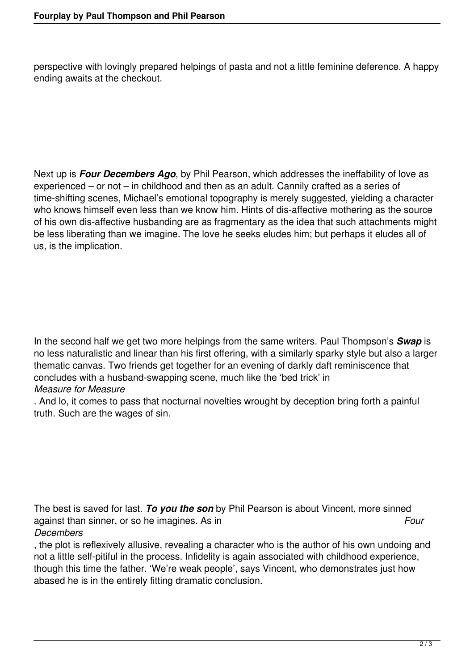perspective with lovingly prepared helpings of pasta and not a little feminine deference. A happy ending awaits at the checkout.

Next up is *Four Decembers Ago*, by Phil Pearson, which addresses the ineffability of love as experienced – or not – in childhood and then as an adult. Cannily crafted as a series of time-shifting scenes, Michael's emotional topography is merely suggested, yielding a character who knows himself even less than we know him. Hints of dis-affective mothering as the source of his own dis-affective husbanding are as fragmentary as the idea that such attachments might be less liberating than we imagine. The love he seeks eludes him; but perhaps it eludes all of us, is the implication.

In the second half we get two more helpings from the same writers. Paul Thompson's *Swap* is no less naturalistic and linear than his first offering, with a similarly sparky style but also a larger thematic canvas. Two friends get together for an evening of darkly daft reminiscence that concludes with a husband-swapping scene, much like the 'bed trick' in *Measure for Measure*

. And lo, it comes to pass that nocturnal novelties wrought by deception bring forth a painful truth. Such are the wages of sin.

The best is saved for last. *To you the son* by Phil Pearson is about Vincent, more sinned against than sinner, or so he imagines. As in *Four Decembers*

, the plot is reflexively allusive, revealing a character who is the author of his own undoing and not a little self-pitiful in the process. Infidelity is again associated with childhood experience, though this time the father. 'We're weak people', says Vincent, who demonstrates just how abased he is in the entirely fitting dramatic conclusion.